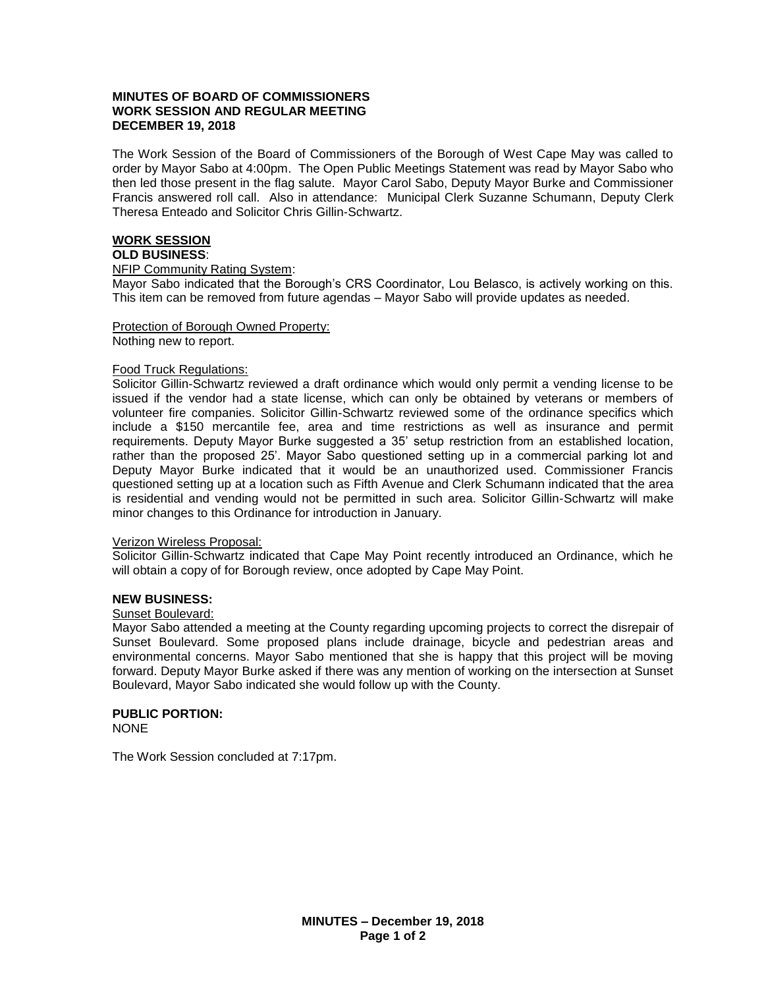# **MINUTES OF BOARD OF COMMISSIONERS WORK SESSION AND REGULAR MEETING DECEMBER 19, 2018**

The Work Session of the Board of Commissioners of the Borough of West Cape May was called to order by Mayor Sabo at 4:00pm. The Open Public Meetings Statement was read by Mayor Sabo who then led those present in the flag salute. Mayor Carol Sabo, Deputy Mayor Burke and Commissioner Francis answered roll call. Also in attendance: Municipal Clerk Suzanne Schumann, Deputy Clerk Theresa Enteado and Solicitor Chris Gillin-Schwartz.

# **WORK SESSION**

# **OLD BUSINESS**:

#### NFIP Community Rating System:

Mayor Sabo indicated that the Borough's CRS Coordinator, Lou Belasco, is actively working on this. This item can be removed from future agendas – Mayor Sabo will provide updates as needed.

# Protection of Borough Owned Property:

Nothing new to report.

#### Food Truck Regulations:

Solicitor Gillin-Schwartz reviewed a draft ordinance which would only permit a vending license to be issued if the vendor had a state license, which can only be obtained by veterans or members of volunteer fire companies. Solicitor Gillin-Schwartz reviewed some of the ordinance specifics which include a \$150 mercantile fee, area and time restrictions as well as insurance and permit requirements. Deputy Mayor Burke suggested a 35' setup restriction from an established location, rather than the proposed 25'. Mayor Sabo questioned setting up in a commercial parking lot and Deputy Mayor Burke indicated that it would be an unauthorized used. Commissioner Francis questioned setting up at a location such as Fifth Avenue and Clerk Schumann indicated that the area is residential and vending would not be permitted in such area. Solicitor Gillin-Schwartz will make minor changes to this Ordinance for introduction in January.

# Verizon Wireless Proposal:

Solicitor Gillin-Schwartz indicated that Cape May Point recently introduced an Ordinance, which he will obtain a copy of for Borough review, once adopted by Cape May Point.

# **NEW BUSINESS:**

# Sunset Boulevard:

Mayor Sabo attended a meeting at the County regarding upcoming projects to correct the disrepair of Sunset Boulevard. Some proposed plans include drainage, bicycle and pedestrian areas and environmental concerns. Mayor Sabo mentioned that she is happy that this project will be moving forward. Deputy Mayor Burke asked if there was any mention of working on the intersection at Sunset Boulevard, Mayor Sabo indicated she would follow up with the County.

# **PUBLIC PORTION:**

NONE

The Work Session concluded at 7:17pm.